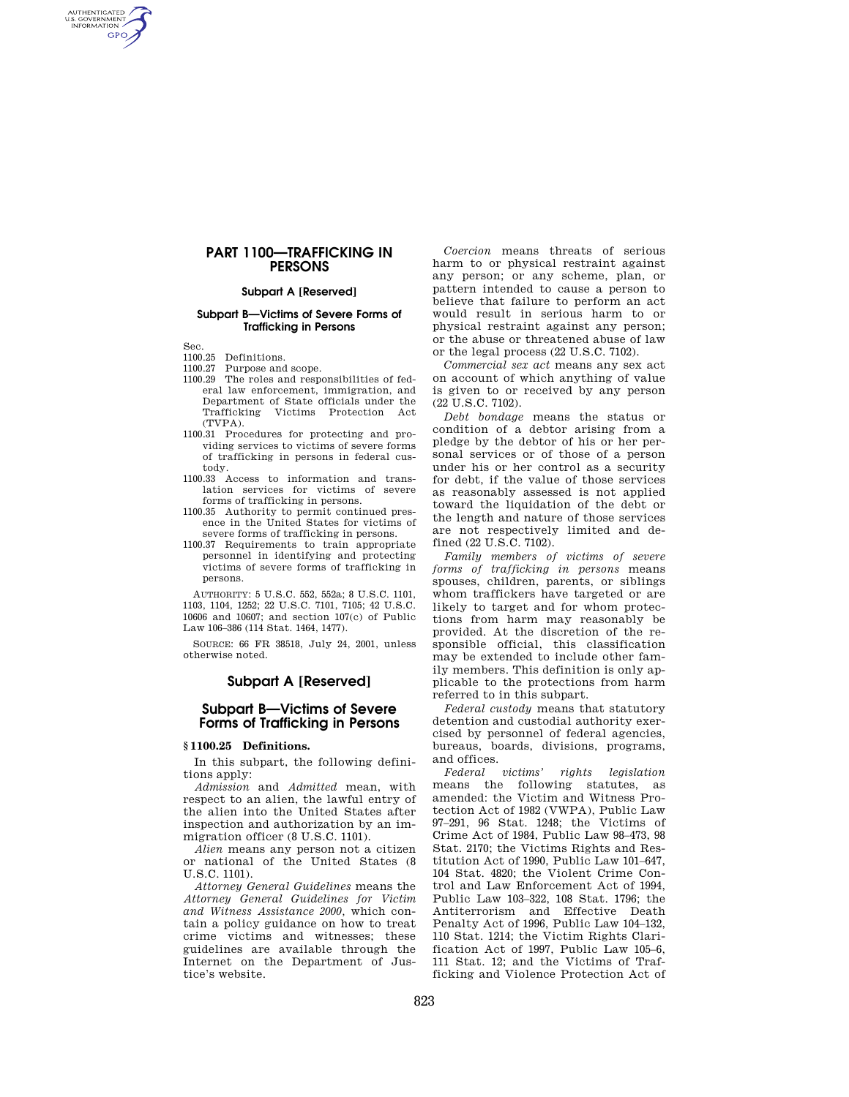# **PART 1100—TRAFFICKING IN PERSONS**

### **Subpart A [Reserved]**

### **Subpart B—Victims of Severe Forms of Trafficking in Persons**

Sec.

AUTHENTICATED<br>U.S. GOVERNMENT<br>INFORMATION **GPO** 

# 1100.25 Definitions.

- 1100.27 Purpose and scope.
- 1100.29 The roles and responsibilities of federal law enforcement, immigration, and Department of State officials under the Victims Protection Act (TVPA).
- 1100.31 Procedures for protecting and providing services to victims of severe forms of trafficking in persons in federal custody.
- 1100.33 Access to information and translation services for victims of severe forms of trafficking in persons.
- 1100.35 Authority to permit continued presence in the United States for victims of severe forms of trafficking in persons.
- 1100.37 Requirements to train appropriate personnel in identifying and protecting victims of severe forms of trafficking in persons.

AUTHORITY: 5 U.S.C. 552, 552a; 8 U.S.C. 1101, 1103, 1104, 1252; 22 U.S.C. 7101, 7105; 42 U.S.C. 10606 and 10607; and section 107(c) of Public Law 106–386 (114 Stat. 1464, 1477).

SOURCE: 66 FR 38518, July 24, 2001, unless otherwise noted.

## **Subpart A [Reserved]**

# **Subpart B—Victims of Severe Forms of Trafficking in Persons**

#### **§ 1100.25 Definitions.**

In this subpart, the following definitions apply:

*Admission* and *Admitted* mean, with respect to an alien, the lawful entry of the alien into the United States after inspection and authorization by an immigration officer (8 U.S.C. 1101).

*Alien* means any person not a citizen or national of the United States (8 U.S.C. 1101).

*Attorney General Guidelines* means the *Attorney General Guidelines for Victim and Witness Assistance 2000,* which contain a policy guidance on how to treat crime victims and witnesses; these guidelines are available through the Internet on the Department of Justice's website.

*Coercion* means threats of serious harm to or physical restraint against any person; or any scheme, plan, or pattern intended to cause a person to believe that failure to perform an act would result in serious harm to or physical restraint against any person; or the abuse or threatened abuse of law or the legal process (22 U.S.C. 7102).

*Commercial sex act* means any sex act on account of which anything of value is given to or received by any person (22 U.S.C. 7102).

*Debt bondage* means the status or condition of a debtor arising from a pledge by the debtor of his or her personal services or of those of a person under his or her control as a security for debt, if the value of those services as reasonably assessed is not applied toward the liquidation of the debt or the length and nature of those services are not respectively limited and defined (22 U.S.C. 7102).

*Family members of victims of severe forms of trafficking in persons* means spouses, children, parents, or siblings whom traffickers have targeted or are likely to target and for whom protections from harm may reasonably be provided. At the discretion of the responsible official, this classification may be extended to include other family members. This definition is only applicable to the protections from harm referred to in this subpart.

*Federal custody* means that statutory detention and custodial authority exercised by personnel of federal agencies, bureaus, boards, divisions, programs, and offices.

*Federal victims' rights legislation*  means the following statutes, as amended: the Victim and Witness Protection Act of 1982 (VWPA), Public Law 97–291, 96 Stat. 1248; the Victims of Crime Act of 1984, Public Law 98–473, 98 Stat. 2170; the Victims Rights and Restitution Act of 1990, Public Law 101–647, 104 Stat. 4820; the Violent Crime Control and Law Enforcement Act of 1994, Public Law 103–322, 108 Stat. 1796; the Antiterrorism and Effective Death Penalty Act of 1996, Public Law 104–132, 110 Stat. 1214; the Victim Rights Clarification Act of 1997, Public Law 105–6, 111 Stat. 12; and the Victims of Trafficking and Violence Protection Act of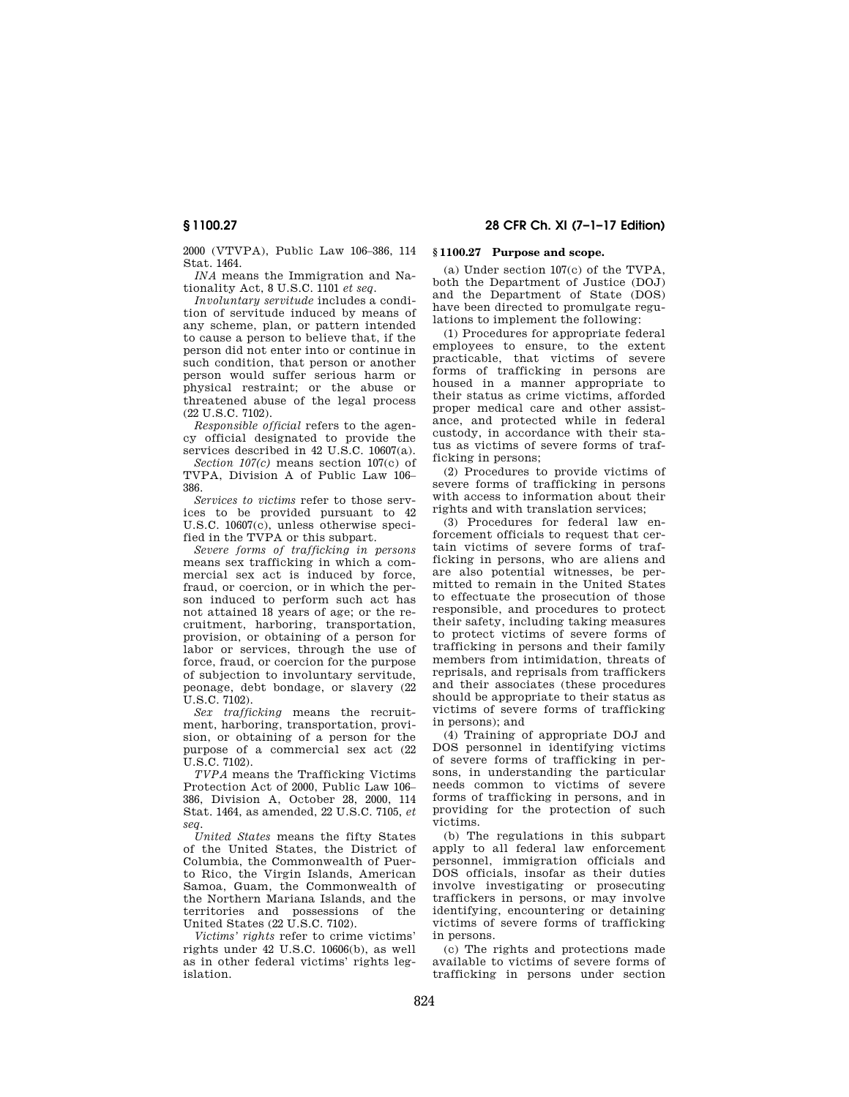2000 (VTVPA), Public Law 106–386, 114 Stat. 1464.

*INA* means the Immigration and Nationality Act, 8 U.S.C. 1101 *et seq.* 

*Involuntary servitude* includes a condition of servitude induced by means of any scheme, plan, or pattern intended to cause a person to believe that, if the person did not enter into or continue in such condition, that person or another person would suffer serious harm or physical restraint; or the abuse or threatened abuse of the legal process (22 U.S.C. 7102).

*Responsible official* refers to the agency official designated to provide the services described in 42 U.S.C. 10607(a).

*Section 107(c)* means section 107(c) of TVPA, Division A of Public Law 106– 386.

*Services to victims* refer to those services to be provided pursuant to 42 U.S.C. 10607(c), unless otherwise specified in the TVPA or this subpart.

*Severe forms of trafficking in persons*  means sex trafficking in which a commercial sex act is induced by force, fraud, or coercion, or in which the person induced to perform such act has not attained 18 years of age; or the recruitment, harboring, transportation, provision, or obtaining of a person for labor or services, through the use of force, fraud, or coercion for the purpose of subjection to involuntary servitude, peonage, debt bondage, or slavery (22  $\overline{U}$  S.C. 7102).

*Sex trafficking* means the recruitment, harboring, transportation, provision, or obtaining of a person for the purpose of a commercial sex act (22 U.S.C. 7102).

*TVPA* means the Trafficking Victims Protection Act of 2000, Public Law 106– 386, Division A, October 28, 2000, 114 Stat. 1464, as amended, 22 U.S.C. 7105, *et seq.* 

*United States* means the fifty States of the United States, the District of Columbia, the Commonwealth of Puerto Rico, the Virgin Islands, American Samoa, Guam, the Commonwealth of the Northern Mariana Islands, and the territories and possessions of the United States (22 U.S.C. 7102).

*Victims' rights* refer to crime victims' rights under 42 U.S.C. 10606(b), as well as in other federal victims' rights legislation.

### **§ 1100.27 Purpose and scope.**

(a) Under section 107(c) of the TVPA, both the Department of Justice (DOJ) and the Department of State (DOS) have been directed to promulgate regulations to implement the following:

(1) Procedures for appropriate federal employees to ensure, to the extent practicable, that victims of severe forms of trafficking in persons are housed in a manner appropriate to their status as crime victims, afforded proper medical care and other assistance, and protected while in federal custody, in accordance with their status as victims of severe forms of trafficking in persons;

(2) Procedures to provide victims of severe forms of trafficking in persons with access to information about their rights and with translation services;

(3) Procedures for federal law enforcement officials to request that certain victims of severe forms of trafficking in persons, who are aliens and are also potential witnesses, be permitted to remain in the United States to effectuate the prosecution of those responsible, and procedures to protect their safety, including taking measures to protect victims of severe forms of trafficking in persons and their family members from intimidation, threats of reprisals, and reprisals from traffickers and their associates (these procedures should be appropriate to their status as victims of severe forms of trafficking in persons); and

(4) Training of appropriate DOJ and DOS personnel in identifying victims of severe forms of trafficking in persons, in understanding the particular needs common to victims of severe forms of trafficking in persons, and in providing for the protection of such victims.

(b) The regulations in this subpart apply to all federal law enforcement personnel, immigration officials and DOS officials, insofar as their duties involve investigating or prosecuting traffickers in persons, or may involve identifying, encountering or detaining victims of severe forms of trafficking in persons.

(c) The rights and protections made available to victims of severe forms of trafficking in persons under section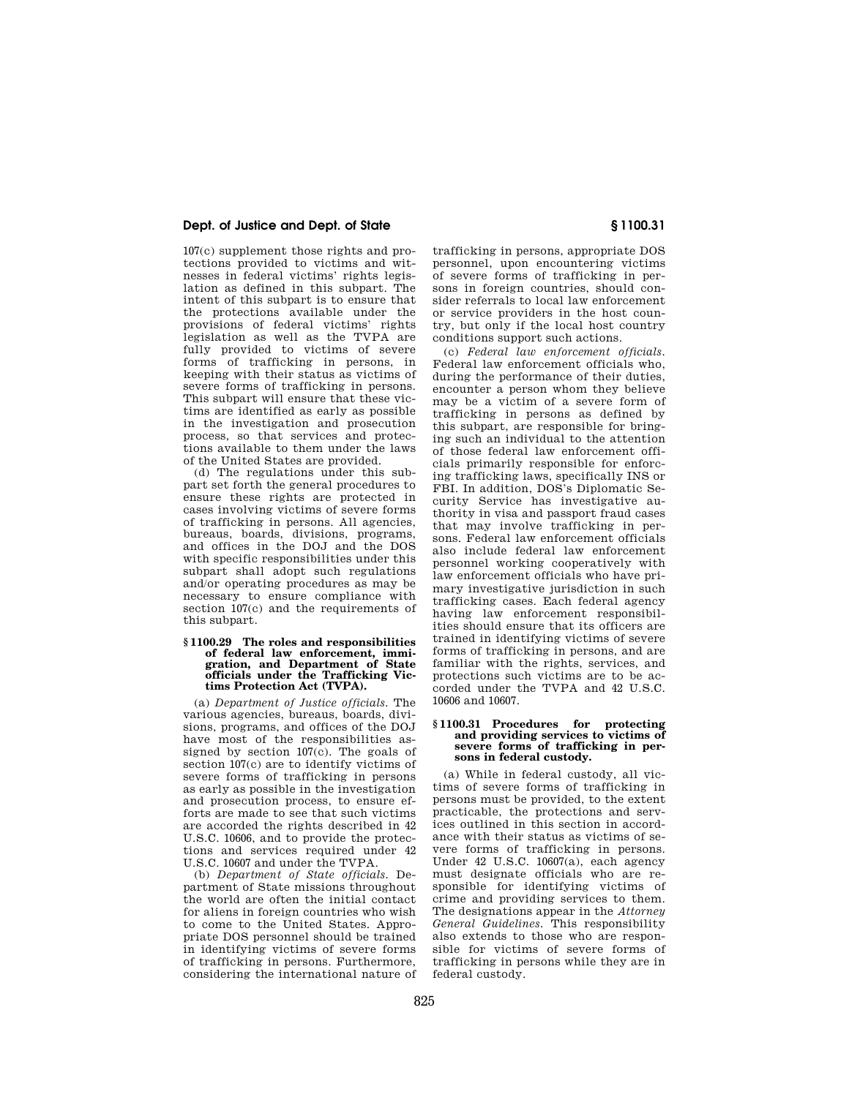## **Dept. of Justice and Dept. of State § 1100.31**

107(c) supplement those rights and protections provided to victims and witnesses in federal victims' rights legislation as defined in this subpart. The intent of this subpart is to ensure that the protections available under the provisions of federal victims' rights legislation as well as the TVPA are fully provided to victims of severe forms of trafficking in persons, in keeping with their status as victims of severe forms of trafficking in persons. This subpart will ensure that these victims are identified as early as possible in the investigation and prosecution process, so that services and protections available to them under the laws of the United States are provided.

(d) The regulations under this subpart set forth the general procedures to ensure these rights are protected in cases involving victims of severe forms of trafficking in persons. All agencies, bureaus, boards, divisions, programs, and offices in the DOJ and the DOS with specific responsibilities under this subpart shall adopt such regulations and/or operating procedures as may be necessary to ensure compliance with section 107(c) and the requirements of this subpart.

# **§ 1100.29 The roles and responsibilities of federal law enforcement, immi-gration, and Department of State officials under the Trafficking Victims Protection Act (TVPA).**

(a) *Department of Justice officials.* The various agencies, bureaus, boards, divisions, programs, and offices of the DOJ have most of the responsibilities assigned by section 107(c). The goals of section 107(c) are to identify victims of severe forms of trafficking in persons as early as possible in the investigation and prosecution process, to ensure efforts are made to see that such victims are accorded the rights described in 42 U.S.C. 10606, and to provide the protections and services required under 42 U.S.C. 10607 and under the TVPA.

(b) *Department of State officials.* Department of State missions throughout the world are often the initial contact for aliens in foreign countries who wish to come to the United States. Appropriate DOS personnel should be trained in identifying victims of severe forms of trafficking in persons. Furthermore, considering the international nature of

trafficking in persons, appropriate DOS personnel, upon encountering victims of severe forms of trafficking in persons in foreign countries, should consider referrals to local law enforcement or service providers in the host country, but only if the local host country conditions support such actions.

(c) *Federal law enforcement officials.*  Federal law enforcement officials who, during the performance of their duties, encounter a person whom they believe may be a victim of a severe form of trafficking in persons as defined by this subpart, are responsible for bringing such an individual to the attention of those federal law enforcement officials primarily responsible for enforcing trafficking laws, specifically INS or FBI. In addition, DOS's Diplomatic Security Service has investigative authority in visa and passport fraud cases that may involve trafficking in persons. Federal law enforcement officials also include federal law enforcement personnel working cooperatively with law enforcement officials who have primary investigative jurisdiction in such trafficking cases. Each federal agency having law enforcement responsibilities should ensure that its officers are trained in identifying victims of severe forms of trafficking in persons, and are familiar with the rights, services, and protections such victims are to be accorded under the TVPA and 42 U.S.C. 10606 and 10607.

#### **§ 1100.31 Procedures for protecting and providing services to victims of severe forms of trafficking in persons in federal custody.**

(a) While in federal custody, all victims of severe forms of trafficking in persons must be provided, to the extent practicable, the protections and services outlined in this section in accordance with their status as victims of severe forms of trafficking in persons. Under 42 U.S.C. 10607(a), each agency must designate officials who are responsible for identifying victims of crime and providing services to them. The designations appear in the *Attorney General Guidelines.* This responsibility also extends to those who are responsible for victims of severe forms of trafficking in persons while they are in federal custody.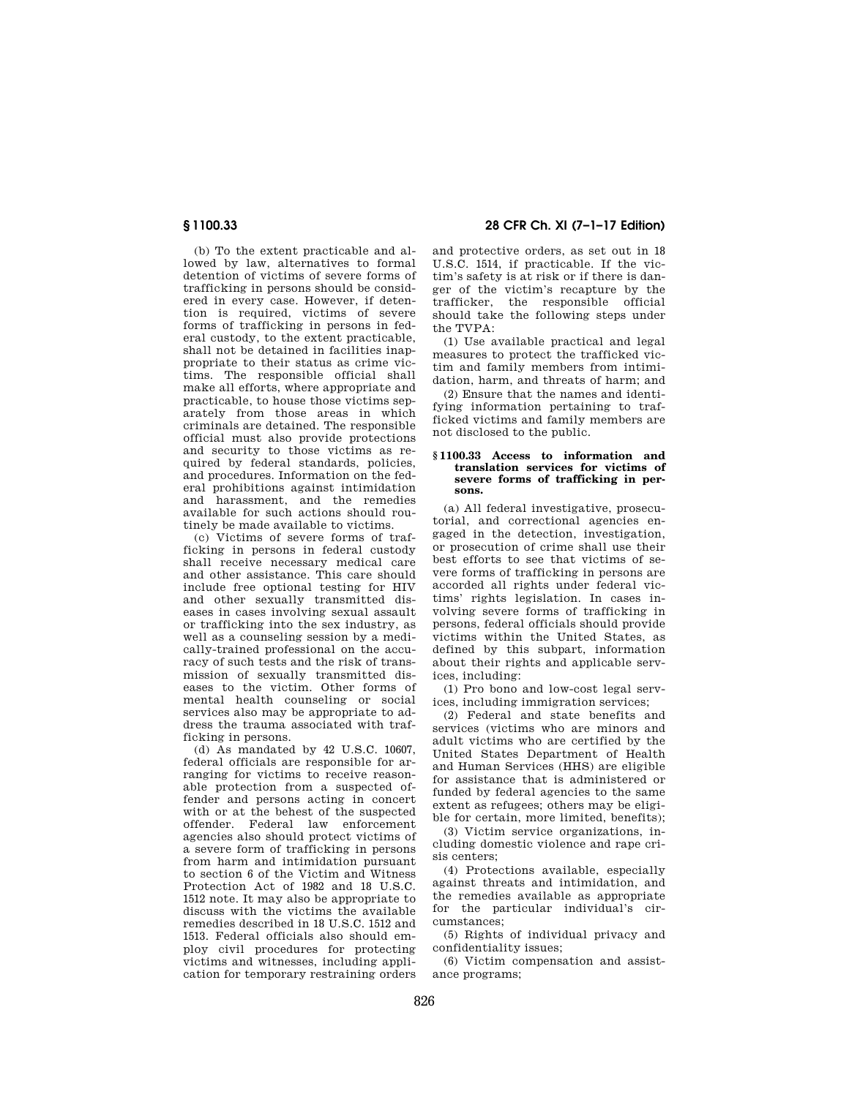(b) To the extent practicable and allowed by law, alternatives to formal detention of victims of severe forms of trafficking in persons should be considered in every case. However, if detention is required, victims of severe forms of trafficking in persons in federal custody, to the extent practicable, shall not be detained in facilities inappropriate to their status as crime victims. The responsible official shall make all efforts, where appropriate and practicable, to house those victims separately from those areas in which criminals are detained. The responsible official must also provide protections and security to those victims as required by federal standards, policies, and procedures. Information on the federal prohibitions against intimidation and harassment, and the remedies available for such actions should routinely be made available to victims.

(c) Victims of severe forms of trafficking in persons in federal custody shall receive necessary medical care and other assistance. This care should include free optional testing for HIV and other sexually transmitted diseases in cases involving sexual assault or trafficking into the sex industry, as well as a counseling session by a medically-trained professional on the accuracy of such tests and the risk of transmission of sexually transmitted diseases to the victim. Other forms of mental health counseling or social services also may be appropriate to address the trauma associated with trafficking in persons.

(d) As mandated by 42 U.S.C. 10607, federal officials are responsible for arranging for victims to receive reasonable protection from a suspected offender and persons acting in concert with or at the behest of the suspected offender. Federal law enforcement agencies also should protect victims of a severe form of trafficking in persons from harm and intimidation pursuant to section 6 of the Victim and Witness Protection Act of 1982 and 18 U.S.C. 1512 note. It may also be appropriate to discuss with the victims the available remedies described in 18 U.S.C. 1512 and 1513. Federal officials also should employ civil procedures for protecting victims and witnesses, including application for temporary restraining orders

**§ 1100.33 28 CFR Ch. XI (7–1–17 Edition)** 

and protective orders, as set out in 18 U.S.C. 1514, if practicable. If the victim's safety is at risk or if there is danger of the victim's recapture by the trafficker, the responsible official should take the following steps under the TVPA:

(1) Use available practical and legal measures to protect the trafficked victim and family members from intimidation, harm, and threats of harm; and

(2) Ensure that the names and identifying information pertaining to trafficked victims and family members are not disclosed to the public.

### **§ 1100.33 Access to information and translation services for victims of severe forms of trafficking in persons.**

(a) All federal investigative, prosecutorial, and correctional agencies engaged in the detection, investigation, or prosecution of crime shall use their best efforts to see that victims of severe forms of trafficking in persons are accorded all rights under federal victims' rights legislation. In cases involving severe forms of trafficking in persons, federal officials should provide victims within the United States, as defined by this subpart, information about their rights and applicable services, including:

(1) Pro bono and low-cost legal services, including immigration services;

(2) Federal and state benefits and services (victims who are minors and adult victims who are certified by the United States Department of Health and Human Services (HHS) are eligible for assistance that is administered or funded by federal agencies to the same extent as refugees; others may be eligible for certain, more limited, benefits);

(3) Victim service organizations, including domestic violence and rape crisis centers;

(4) Protections available, especially against threats and intimidation, and the remedies available as appropriate for the particular individual's circumstances;

(5) Rights of individual privacy and confidentiality issues;

(6) Victim compensation and assistance programs;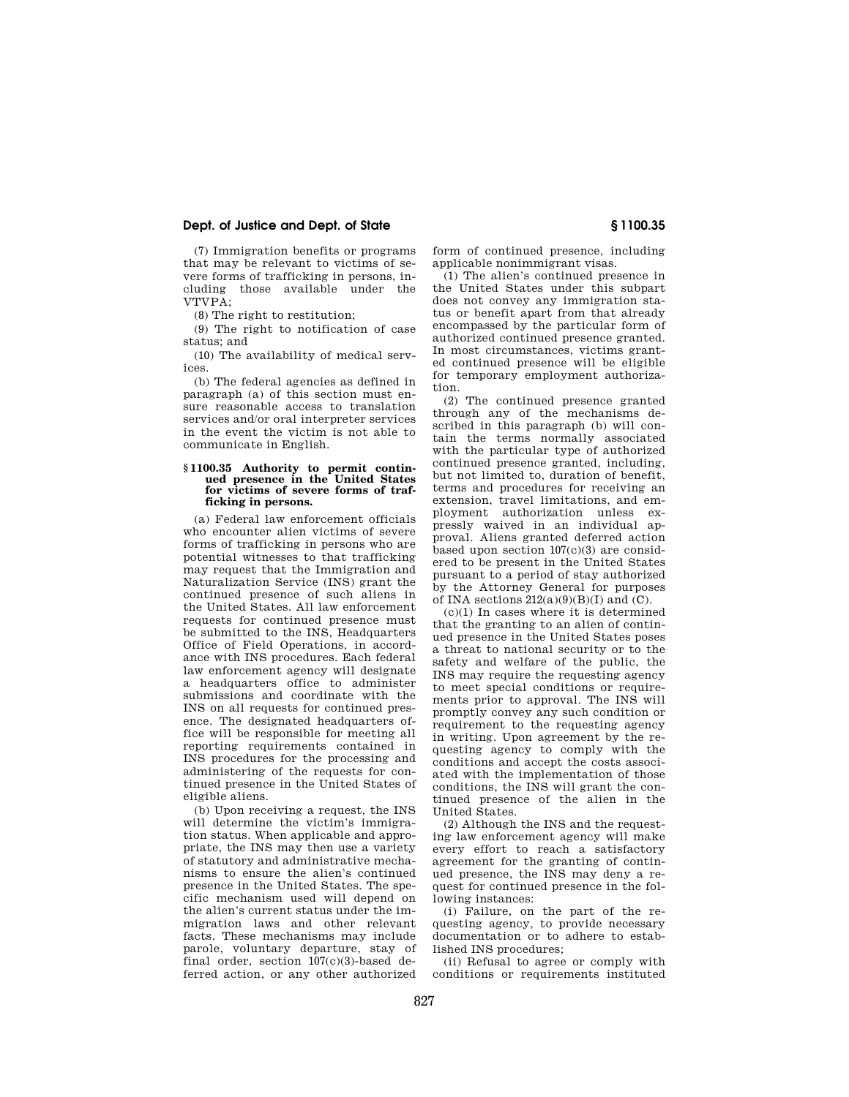### **Dept. of Justice and Dept. of State § 1100.35**

(7) Immigration benefits or programs that may be relevant to victims of severe forms of trafficking in persons, including those available under the  $VTVPA$ 

(8) The right to restitution;

(9) The right to notification of case status; and

(10) The availability of medical services.

(b) The federal agencies as defined in paragraph (a) of this section must ensure reasonable access to translation services and/or oral interpreter services in the event the victim is not able to communicate in English.

#### **§ 1100.35 Authority to permit continued presence in the United States for victims of severe forms of trafficking in persons.**

(a) Federal law enforcement officials who encounter alien victims of severe forms of trafficking in persons who are potential witnesses to that trafficking may request that the Immigration and Naturalization Service (INS) grant the continued presence of such aliens in the United States. All law enforcement requests for continued presence must be submitted to the INS, Headquarters Office of Field Operations, in accordance with INS procedures. Each federal law enforcement agency will designate a headquarters office to administer submissions and coordinate with the INS on all requests for continued presence. The designated headquarters office will be responsible for meeting all reporting requirements contained in INS procedures for the processing and administering of the requests for continued presence in the United States of eligible aliens.

(b) Upon receiving a request, the INS will determine the victim's immigration status. When applicable and appropriate, the INS may then use a variety of statutory and administrative mechanisms to ensure the alien's continued presence in the United States. The specific mechanism used will depend on the alien's current status under the immigration laws and other relevant facts. These mechanisms may include parole, voluntary departure, stay of final order, section 107(c)(3)-based deferred action, or any other authorized

form of continued presence, including applicable nonimmigrant visas.

(1) The alien's continued presence in the United States under this subpart does not convey any immigration status or benefit apart from that already encompassed by the particular form of authorized continued presence granted. In most circumstances, victims granted continued presence will be eligible for temporary employment authorization.

(2) The continued presence granted through any of the mechanisms described in this paragraph (b) will contain the terms normally associated with the particular type of authorized continued presence granted, including, but not limited to, duration of benefit, terms and procedures for receiving an extension, travel limitations, and employment authorization unless expressly waived in an individual approval. Aliens granted deferred action based upon section  $107(c)(3)$  are considered to be present in the United States pursuant to a period of stay authorized by the Attorney General for purposes of INA sections  $212(a)(9)(B)(I)$  and  $(C)$ .

(c)(1) In cases where it is determined that the granting to an alien of continued presence in the United States poses a threat to national security or to the safety and welfare of the public, the INS may require the requesting agency to meet special conditions or requirements prior to approval. The INS will promptly convey any such condition or requirement to the requesting agency in writing. Upon agreement by the requesting agency to comply with the conditions and accept the costs associated with the implementation of those conditions, the INS will grant the continued presence of the alien in the United States.

(2) Although the INS and the requesting law enforcement agency will make every effort to reach a satisfactory agreement for the granting of continued presence, the INS may deny a request for continued presence in the following instances:

(i) Failure, on the part of the requesting agency, to provide necessary documentation or to adhere to established INS procedures;

(ii) Refusal to agree or comply with conditions or requirements instituted